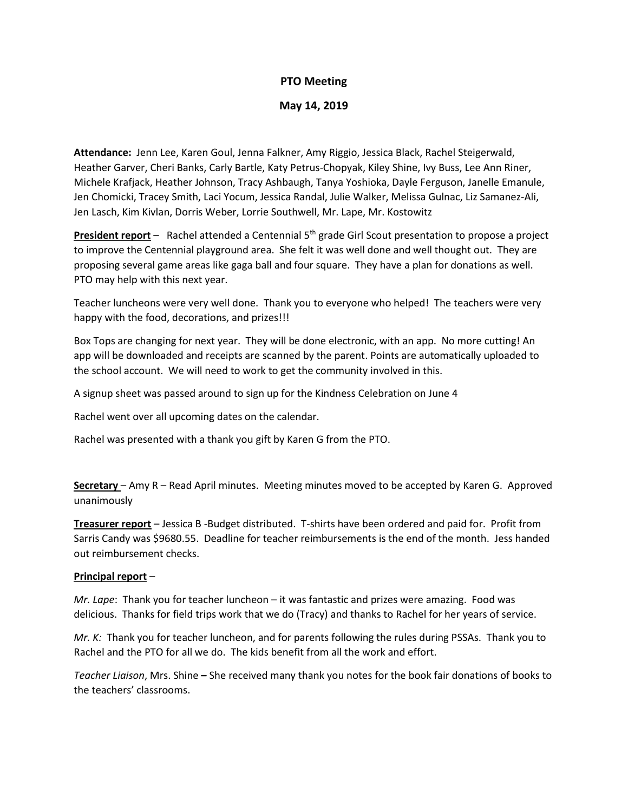# **PTO Meeting**

## **May 14, 2019**

**Attendance:** Jenn Lee, Karen Goul, Jenna Falkner, Amy Riggio, Jessica Black, Rachel Steigerwald, Heather Garver, Cheri Banks, Carly Bartle, Katy Petrus-Chopyak, Kiley Shine, Ivy Buss, Lee Ann Riner, Michele Krafjack, Heather Johnson, Tracy Ashbaugh, Tanya Yoshioka, Dayle Ferguson, Janelle Emanule, Jen Chomicki, Tracey Smith, Laci Yocum, Jessica Randal, Julie Walker, Melissa Gulnac, Liz Samanez-Ali, Jen Lasch, Kim Kivlan, Dorris Weber, Lorrie Southwell, Mr. Lape, Mr. Kostowitz

**President report** – Rachel attended a Centennial 5<sup>th</sup> grade Girl Scout presentation to propose a project to improve the Centennial playground area. She felt it was well done and well thought out. They are proposing several game areas like gaga ball and four square. They have a plan for donations as well. PTO may help with this next year.

Teacher luncheons were very well done. Thank you to everyone who helped! The teachers were very happy with the food, decorations, and prizes!!!

Box Tops are changing for next year. They will be done electronic, with an app. No more cutting! An app will be downloaded and receipts are scanned by the parent. Points are automatically uploaded to the school account. We will need to work to get the community involved in this.

A signup sheet was passed around to sign up for the Kindness Celebration on June 4

Rachel went over all upcoming dates on the calendar.

Rachel was presented with a thank you gift by Karen G from the PTO.

**Secretary** – Amy R – Read April minutes. Meeting minutes moved to be accepted by Karen G. Approved unanimously

**Treasurer report** – Jessica B -Budget distributed. T-shirts have been ordered and paid for. Profit from Sarris Candy was \$9680.55. Deadline for teacher reimbursements is the end of the month. Jess handed out reimbursement checks.

## **Principal report** –

*Mr. Lape*: Thank you for teacher luncheon – it was fantastic and prizes were amazing. Food was delicious. Thanks for field trips work that we do (Tracy) and thanks to Rachel for her years of service.

*Mr. K:* Thank you for teacher luncheon, and for parents following the rules during PSSAs. Thank you to Rachel and the PTO for all we do. The kids benefit from all the work and effort.

*Teacher Liaison*, Mrs. Shine **–** She received many thank you notes for the book fair donations of books to the teachers' classrooms.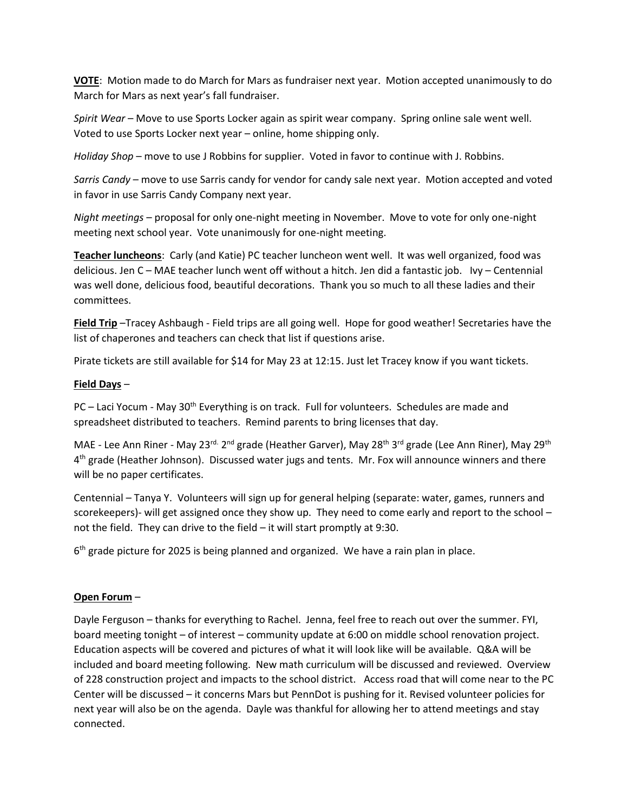**VOTE**: Motion made to do March for Mars as fundraiser next year. Motion accepted unanimously to do March for Mars as next year's fall fundraiser.

*Spirit Wear* – Move to use Sports Locker again as spirit wear company. Spring online sale went well. Voted to use Sports Locker next year – online, home shipping only.

*Holiday Shop* – move to use J Robbins for supplier. Voted in favor to continue with J. Robbins.

*Sarris Candy* – move to use Sarris candy for vendor for candy sale next year. Motion accepted and voted in favor in use Sarris Candy Company next year.

*Night meetings* – proposal for only one-night meeting in November. Move to vote for only one-night meeting next school year. Vote unanimously for one-night meeting.

**Teacher luncheons**: Carly (and Katie) PC teacher luncheon went well. It was well organized, food was delicious. Jen C – MAE teacher lunch went off without a hitch. Jen did a fantastic job. Ivy – Centennial was well done, delicious food, beautiful decorations. Thank you so much to all these ladies and their committees.

**Field Trip** –Tracey Ashbaugh - Field trips are all going well. Hope for good weather! Secretaries have the list of chaperones and teachers can check that list if questions arise.

Pirate tickets are still available for \$14 for May 23 at 12:15. Just let Tracey know if you want tickets.

# **Field Days** –

PC – Laci Yocum - May 30<sup>th</sup> Everything is on track. Full for volunteers. Schedules are made and spreadsheet distributed to teachers. Remind parents to bring licenses that day.

MAE - Lee Ann Riner - May 23<sup>rd.</sup> 2<sup>nd</sup> grade (Heather Garver), May 28<sup>th</sup> 3<sup>rd</sup> grade (Lee Ann Riner), May 29<sup>th</sup> 4<sup>th</sup> grade (Heather Johnson). Discussed water jugs and tents. Mr. Fox will announce winners and there will be no paper certificates.

Centennial – Tanya Y. Volunteers will sign up for general helping (separate: water, games, runners and scorekeepers)- will get assigned once they show up. They need to come early and report to the school – not the field. They can drive to the field – it will start promptly at 9:30.

6<sup>th</sup> grade picture for 2025 is being planned and organized. We have a rain plan in place.

## **Open Forum** –

Dayle Ferguson – thanks for everything to Rachel. Jenna, feel free to reach out over the summer. FYI, board meeting tonight – of interest – community update at 6:00 on middle school renovation project. Education aspects will be covered and pictures of what it will look like will be available. Q&A will be included and board meeting following. New math curriculum will be discussed and reviewed. Overview of 228 construction project and impacts to the school district. Access road that will come near to the PC Center will be discussed – it concerns Mars but PennDot is pushing for it. Revised volunteer policies for next year will also be on the agenda. Dayle was thankful for allowing her to attend meetings and stay connected.